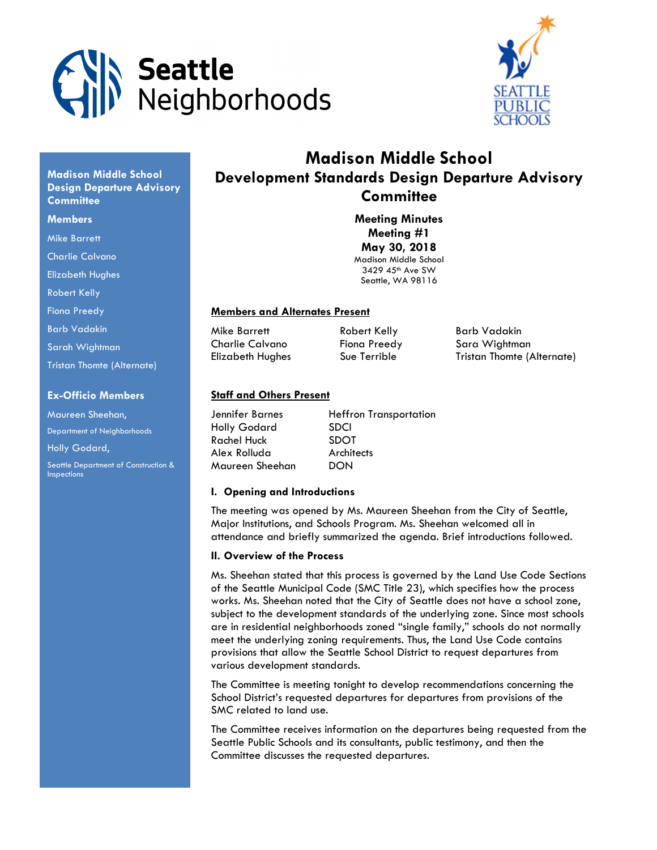



# Madison Middle School Development Standards Design Departure Advisory **Committee**

Meeting Minutes Meeting #1 May 30, 2018 Madison Middle School 3429 45th Ave SW Seattle, WA 98116

#### Members and Alternates Present

Mike Barrett **Robert Kelly** Barb Vadakin

Charlie Calvano Fiona Preedy Sara Wightman Elizabeth Hughes Sue Terrible Tristan Thomte (Alternate)

## Ex-Officio Members

Tristan Thomte (Alternate)

Madison Middle School Design Departure Advisory

**Committee Members** Mike Barrett Charlie Calvano Elizabeth Hughes Robert Kelly Fiona Preedy Barb Vadakin Sarah Wightman

Maureen Sheehan, Department of Neighborhoods Holly Godard,

Seattle Department of Construction & Inspections

# Staff and Others Present

| Jennifer Barnes    | <b>Heffron Transportation</b> |
|--------------------|-------------------------------|
| Holly Godard       | <b>SDCI</b>                   |
| <b>Rachel Huck</b> | <b>SDOT</b>                   |
| Alex Rolluda       | Architects                    |
| Maureen Sheehan    | DON                           |

#### I. Opening and Introductions

The meeting was opened by Ms. Maureen Sheehan from the City of Seattle, Major Institutions, and Schools Program. Ms. Sheehan welcomed all in attendance and briefly summarized the agenda. Brief introductions followed.

#### II. Overview of the Process

Ms. Sheehan stated that this process is governed by the Land Use Code Sections of the Seattle Municipal Code (SMC Title 23), which specifies how the process works. Ms. Sheehan noted that the City of Seattle does not have a school zone, subject to the development standards of the underlying zone. Since most schools are in residential neighborhoods zoned "single family," schools do not normally meet the underlying zoning requirements. Thus, the Land Use Code contains provisions that allow the Seattle School District to request departures from various development standards.

The Committee is meeting tonight to develop recommendations concerning the School District's requested departures for departures from provisions of the SMC related to land use.

The Committee receives information on the departures being requested from the Seattle Public Schools and its consultants, public testimony, and then the Committee discusses the requested departures.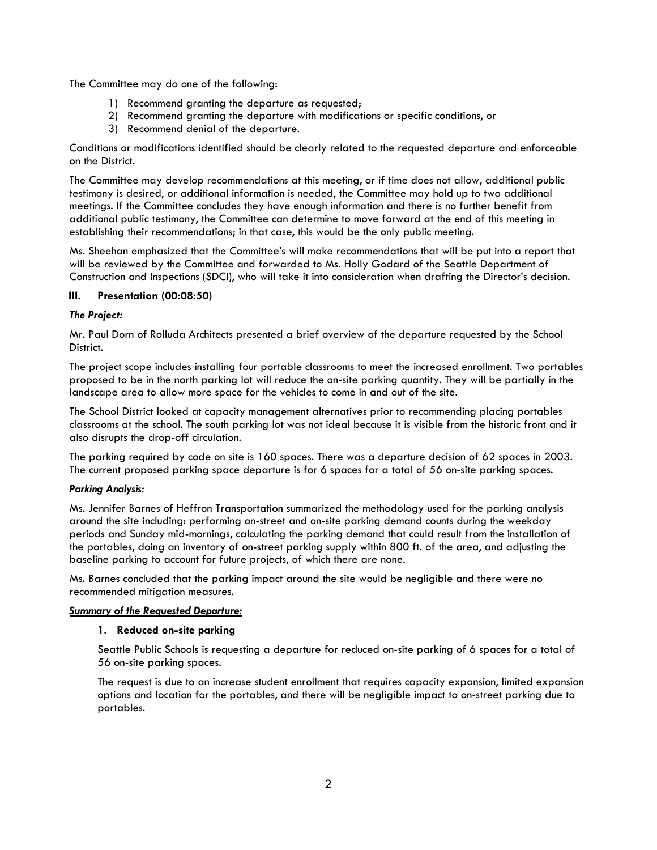The Committee may do one of the following:

- 1) Recommend granting the departure as requested;
- 2) Recommend granting the departure with modifications or specific conditions, or
- 3) Recommend denial of the departure.

Conditions or modifications identified should be clearly related to the requested departure and enforceable on the District.

The Committee may develop recommendations at this meeting, or if time does not allow, additional public testimony is desired, or additional information is needed, the Committee may hold up to two additional meetings. If the Committee concludes they have enough information and there is no further benefit from additional public testimony, the Committee can determine to move forward at the end of this meeting in establishing their recommendations; in that case, this would be the only public meeting.

Ms. Sheehan emphasized that the Committee's will make recommendations that will be put into a report that will be reviewed by the Committee and forwarded to Ms. Holly Godard of the Seattle Department of Construction and Inspections (SDCI), who will take it into consideration when drafting the Director's decision.

# III. Presentation (00:08:50)

# The Project:

Mr. Paul Dorn of Rolluda Architects presented a brief overview of the departure requested by the School District.

The project scope includes installing four portable classrooms to meet the increased enrollment. Two portables proposed to be in the north parking lot will reduce the on-site parking quantity. They will be partially in the landscape area to allow more space for the vehicles to come in and out of the site.

The School District looked at capacity management alternatives prior to recommending placing portables classrooms at the school. The south parking lot was not ideal because it is visible from the historic front and it also disrupts the drop-off circulation.

The parking required by code on site is 160 spaces. There was a departure decision of 62 spaces in 2003. The current proposed parking space departure is for 6 spaces for a total of 56 on-site parking spaces.

## Parking Analysis:

Ms. Jennifer Barnes of Heffron Transportation summarized the methodology used for the parking analysis around the site including: performing on-street and on-site parking demand counts during the weekday periods and Sunday mid-mornings, calculating the parking demand that could result from the installation of the portables, doing an inventory of on-street parking supply within 800 ft. of the area, and adjusting the baseline parking to account for future projects, of which there are none.

Ms. Barnes concluded that the parking impact around the site would be negligible and there were no recommended mitigation measures.

## Summary of the Requested Departure:

## 1. Reduced on-site parking

Seattle Public Schools is requesting a departure for reduced on-site parking of 6 spaces for a total of 56 on-site parking spaces.

The request is due to an increase student enrollment that requires capacity expansion, limited expansion options and location for the portables, and there will be negligible impact to on-street parking due to portables.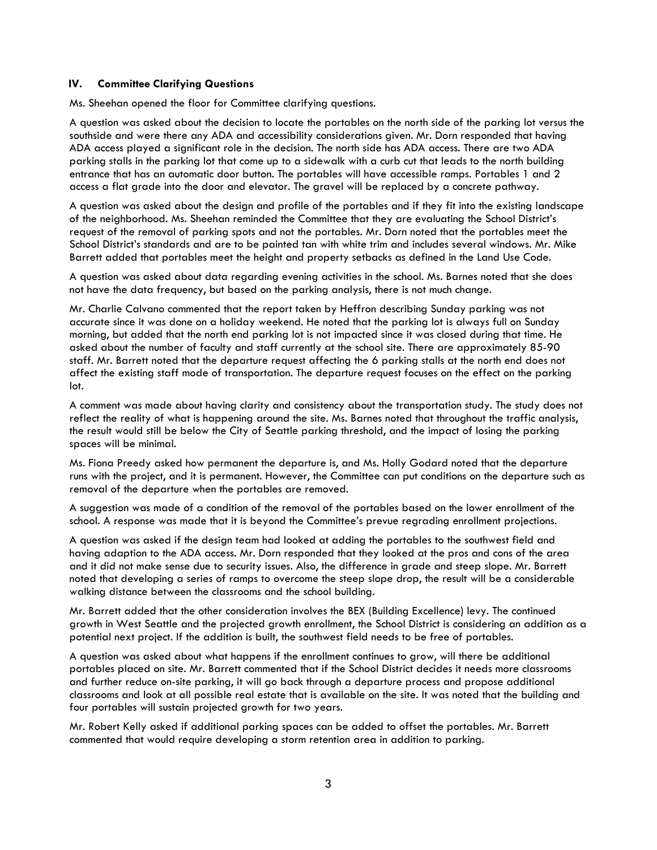#### IV. Committee Clarifying Questions

Ms. Sheehan opened the floor for Committee clarifying questions.

A question was asked about the decision to locate the portables on the north side of the parking lot versus the southside and were there any ADA and accessibility considerations given. Mr. Dorn responded that having ADA access played a significant role in the decision. The north side has ADA access. There are two ADA parking stalls in the parking lot that come up to a sidewalk with a curb cut that leads to the north building entrance that has an automatic door button. The portables will have accessible ramps. Portables 1 and 2 access a flat grade into the door and elevator. The gravel will be replaced by a concrete pathway.

A question was asked about the design and profile of the portables and if they fit into the existing landscape of the neighborhood. Ms. Sheehan reminded the Committee that they are evaluating the School District's request of the removal of parking spots and not the portables. Mr. Dorn noted that the portables meet the School District's standards and are to be painted tan with white trim and includes several windows. Mr. Mike Barrett added that portables meet the height and property setbacks as defined in the Land Use Code.

A question was asked about data regarding evening activities in the school. Ms. Barnes noted that she does not have the data frequency, but based on the parking analysis, there is not much change.

Mr. Charlie Calvano commented that the report taken by Heffron describing Sunday parking was not accurate since it was done on a holiday weekend. He noted that the parking lot is always full on Sunday morning, but added that the north end parking lot is not impacted since it was closed during that time. He asked about the number of faculty and staff currently at the school site. There are approximately 85-90 staff. Mr. Barrett noted that the departure request affecting the 6 parking stalls at the north end does not affect the existing staff mode of transportation. The departure request focuses on the effect on the parking lot.

A comment was made about having clarity and consistency about the transportation study. The study does not reflect the reality of what is happening around the site. Ms. Barnes noted that throughout the traffic analysis, the result would still be below the City of Seattle parking threshold, and the impact of losing the parking spaces will be minimal.

Ms. Fiona Preedy asked how permanent the departure is, and Ms. Holly Godard noted that the departure runs with the project, and it is permanent. However, the Committee can put conditions on the departure such as removal of the departure when the portables are removed.

A suggestion was made of a condition of the removal of the portables based on the lower enrollment of the school. A response was made that it is beyond the Committee's prevue regrading enrollment projections.

A question was asked if the design team had looked at adding the portables to the southwest field and having adaption to the ADA access. Mr. Dorn responded that they looked at the pros and cons of the area and it did not make sense due to security issues. Also, the difference in grade and steep slope. Mr. Barrett noted that developing a series of ramps to overcome the steep slope drop, the result will be a considerable walking distance between the classrooms and the school building.

Mr. Barrett added that the other consideration involves the BEX (Building Excellence) levy. The continued growth in West Seattle and the projected growth enrollment, the School District is considering an addition as a potential next project. If the addition is built, the southwest field needs to be free of portables.

A question was asked about what happens if the enrollment continues to grow, will there be additional portables placed on site. Mr. Barrett commented that if the School District decides it needs more classrooms and further reduce on-site parking, it will go back through a departure process and propose additional classrooms and look at all possible real estate that is available on the site. It was noted that the building and four portables will sustain projected growth for two years.

Mr. Robert Kelly asked if additional parking spaces can be added to offset the portables. Mr. Barrett commented that would require developing a storm retention area in addition to parking.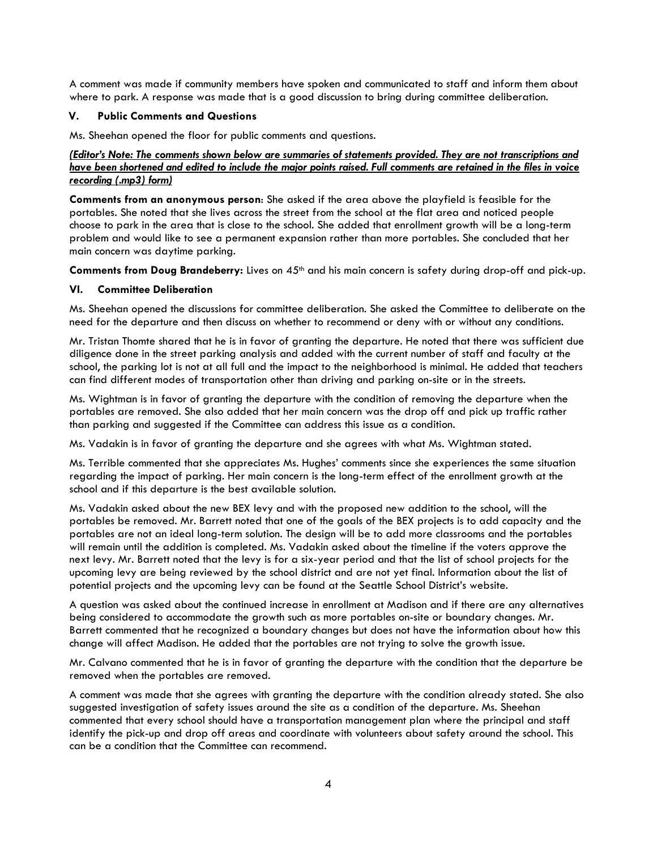A comment was made if community members have spoken and communicated to staff and inform them about where to park. A response was made that is a good discussion to bring during committee deliberation.

## V. Public Comments and Questions

Ms. Sheehan opened the floor for public comments and questions.

# (Editor's Note: The comments shown below are summaries of statements provided. They are not transcriptions and have been shortened and edited to include the major points raised. Full comments are retained in the files in voice recording (.mp3) form)

Comments from an anonymous person: She asked if the area above the playfield is feasible for the portables. She noted that she lives across the street from the school at the flat area and noticed people choose to park in the area that is close to the school. She added that enrollment growth will be a long-term problem and would like to see a permanent expansion rather than more portables. She concluded that her main concern was daytime parking.

Comments from Doug Brandeberry: Lives on  $45<sup>th</sup>$  and his main concern is safety during drop-off and pick-up.

# VI. Committee Deliberation

Ms. Sheehan opened the discussions for committee deliberation. She asked the Committee to deliberate on the need for the departure and then discuss on whether to recommend or deny with or without any conditions.

Mr. Tristan Thomte shared that he is in favor of granting the departure. He noted that there was sufficient due diligence done in the street parking analysis and added with the current number of staff and faculty at the school, the parking lot is not at all full and the impact to the neighborhood is minimal. He added that teachers can find different modes of transportation other than driving and parking on-site or in the streets.

Ms. Wightman is in favor of granting the departure with the condition of removing the departure when the portables are removed. She also added that her main concern was the drop off and pick up traffic rather than parking and suggested if the Committee can address this issue as a condition.

Ms. Vadakin is in favor of granting the departure and she agrees with what Ms. Wightman stated.

Ms. Terrible commented that she appreciates Ms. Hughes' comments since she experiences the same situation regarding the impact of parking. Her main concern is the long-term effect of the enrollment growth at the school and if this departure is the best available solution.

Ms. Vadakin asked about the new BEX levy and with the proposed new addition to the school, will the portables be removed. Mr. Barrett noted that one of the goals of the BEX projects is to add capacity and the portables are not an ideal long-term solution. The design will be to add more classrooms and the portables will remain until the addition is completed. Ms. Vadakin asked about the timeline if the voters approve the next levy. Mr. Barrett noted that the levy is for a six-year period and that the list of school projects for the upcoming levy are being reviewed by the school district and are not yet final. Information about the list of potential projects and the upcoming levy can be found at the Seattle School District's website.

A question was asked about the continued increase in enrollment at Madison and if there are any alternatives being considered to accommodate the growth such as more portables on-site or boundary changes. Mr. Barrett commented that he recognized a boundary changes but does not have the information about how this change will affect Madison. He added that the portables are not trying to solve the growth issue.

Mr. Calvano commented that he is in favor of granting the departure with the condition that the departure be removed when the portables are removed.

A comment was made that she agrees with granting the departure with the condition already stated. She also suggested investigation of safety issues around the site as a condition of the departure. Ms. Sheehan commented that every school should have a transportation management plan where the principal and staff identify the pick-up and drop off areas and coordinate with volunteers about safety around the school. This can be a condition that the Committee can recommend.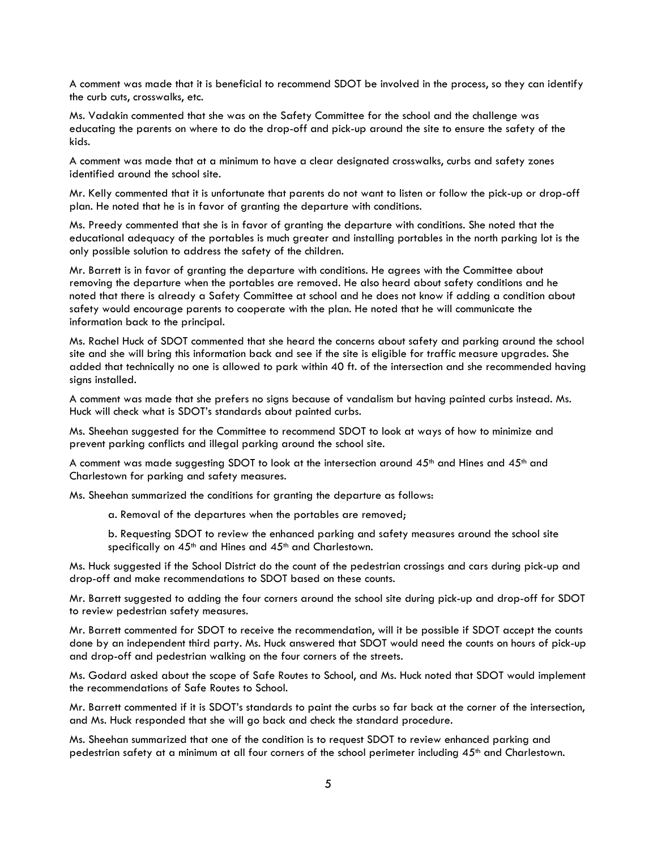A comment was made that it is beneficial to recommend SDOT be involved in the process, so they can identify the curb cuts, crosswalks, etc.

Ms. Vadakin commented that she was on the Safety Committee for the school and the challenge was educating the parents on where to do the drop-off and pick-up around the site to ensure the safety of the kids.

A comment was made that at a minimum to have a clear designated crosswalks, curbs and safety zones identified around the school site.

Mr. Kelly commented that it is unfortunate that parents do not want to listen or follow the pick-up or drop-off plan. He noted that he is in favor of granting the departure with conditions.

Ms. Preedy commented that she is in favor of granting the departure with conditions. She noted that the educational adequacy of the portables is much greater and installing portables in the north parking lot is the only possible solution to address the safety of the children.

Mr. Barrett is in favor of granting the departure with conditions. He agrees with the Committee about removing the departure when the portables are removed. He also heard about safety conditions and he noted that there is already a Safety Committee at school and he does not know if adding a condition about safety would encourage parents to cooperate with the plan. He noted that he will communicate the information back to the principal.

Ms. Rachel Huck of SDOT commented that she heard the concerns about safety and parking around the school site and she will bring this information back and see if the site is eligible for traffic measure upgrades. She added that technically no one is allowed to park within 40 ft. of the intersection and she recommended having signs installed.

A comment was made that she prefers no signs because of vandalism but having painted curbs instead. Ms. Huck will check what is SDOT's standards about painted curbs.

Ms. Sheehan suggested for the Committee to recommend SDOT to look at ways of how to minimize and prevent parking conflicts and illegal parking around the school site.

A comment was made suggesting SDOT to look at the intersection around  $45<sup>th</sup>$  and Hines and  $45<sup>th</sup>$  and Charlestown for parking and safety measures.

Ms. Sheehan summarized the conditions for granting the departure as follows:

a. Removal of the departures when the portables are removed;

b. Requesting SDOT to review the enhanced parking and safety measures around the school site specifically on 45<sup>th</sup> and Hines and 45<sup>th</sup> and Charlestown.

Ms. Huck suggested if the School District do the count of the pedestrian crossings and cars during pick-up and drop-off and make recommendations to SDOT based on these counts.

Mr. Barrett suggested to adding the four corners around the school site during pick-up and drop-off for SDOT to review pedestrian safety measures.

Mr. Barrett commented for SDOT to receive the recommendation, will it be possible if SDOT accept the counts done by an independent third party. Ms. Huck answered that SDOT would need the counts on hours of pick-up and drop-off and pedestrian walking on the four corners of the streets.

Ms. Godard asked about the scope of Safe Routes to School, and Ms. Huck noted that SDOT would implement the recommendations of Safe Routes to School.

Mr. Barrett commented if it is SDOT's standards to paint the curbs so far back at the corner of the intersection, and Ms. Huck responded that she will go back and check the standard procedure.

Ms. Sheehan summarized that one of the condition is to request SDOT to review enhanced parking and pedestrian safety at a minimum at all four corners of the school perimeter including 45<sup>th</sup> and Charlestown.